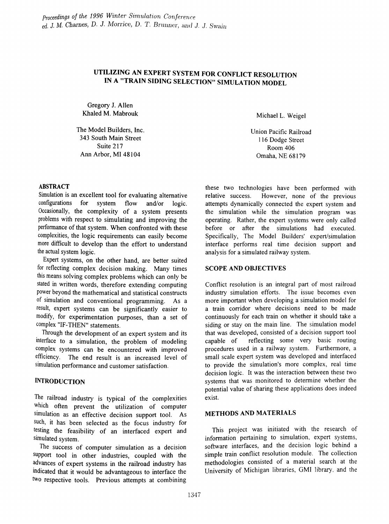# UTILIZING AN EXPERT SYSTEM FOR CONFLICT RESOLUTION IN A "TRAIN SIDING SELECTION" SIMULATION MODEL

Gregory J. Allen Khaled M. Mabrouk

The Model Builders, Inc. 343 South Main Street Suite 217 Ann Arbor, MI 48104

# ABSTRACT

Simulation is an excellent tool for evaluating alternative configurations for system flow and/or logic. Occasionally, the complexity of a system presents problems with respect to simulating and improving the perfonnance of that system. When confronted with these complexities, the logic requirements can easily become more difficult to develop than the effort to understand the actual system logic.

Expert systems, on the other hand, are better suited for reflecting complex decision making. Many times this means solving complex problems which can only be stated in written words, therefore extending computing power beyond the mathematical and statistical constructs of simulation and conventional programming. As a result, expert systems can be significantly easier to modify, for experimentation purposes, than a set of complex "IF-THEN" statements.

Through the development of an expert system and its interface to a simulation, the problem of modeling complex systems can be encountered with improved efficiency. The end result is an increased level of simulation performance and customer satisfaction.

## INTRODUCTION

The railroad industry is typical of the complexities which often prevent the utilization of computer simulation as an effective decision support tool. As such, it has been selected as the focus industry for testing the feasibility of an interfaced expert and simulated system.

The success of computer simulation as a decision support tool in other industries, coupled with the advances of expert systems in the railroad industry has indicated that it would be advantageous to interface the two respective tools. Previous attempts at combining

Michael L. Weigel

Union Pacific Railroad 116 Dodge Street Room 406 Omaha, NE 68179

these two technologies have been performed with relative success. However, none of the previous However, none of the previous attempts dynamically connected the expert system and the simulation while the simulation program was operating. Rather, the expert systems were only called before or after the simulations had executed. Specifically, The Model Builders' expert/simulation interface performs real time decision support and analysis for a simulated railway system.

#### SCOPE AND OBJECTIVES

Conflict resolution is an integral part of most railroad industry simulation efforts. The issue becomes even more important when developing a simulation model for a train corridor where decisions need to be made continuously for each train on whether it should take a siding or stay on the main line. The simulation model that was developed, consisted of a decision support tool capable of reflecting some very basic routing procedures used in a railway system. Furthermore, a small scale expert system was developed and interfaced to provide the simulation's more complex, real time decision logic. It was the interaction between these two systems that was monitored to determine whether the potential value of sharing these applications does indeed exist.

### METHODS AND MATERIALS

This project was initiated with the research of information pertaining to simulation, expert systems, software interfaces, and the decision logic behind a simple train conflict resolution module. The collection methodologies consisted of a material search at the University of Michigan libraries, GMI library, and the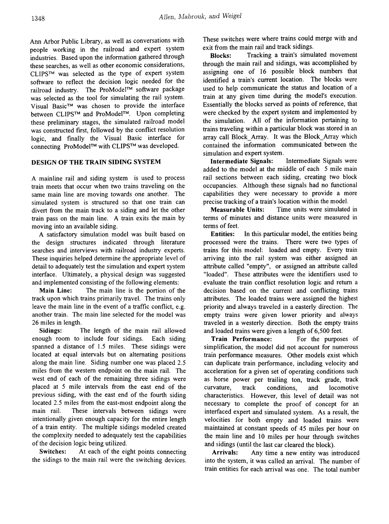Ann Arbor Public Library, as well as conversations with people working in the railroad and expert system industries. Based upon the information gathered through these searches, as well as other economic considerations, CLIPSTM was selected as the type of expert system software to reflect the decision logic needed for the railroad industry. The ProModel™ software package was selected as the tool for simulating the rail system. Visual Basic™ was chosen to provide the interface between CLIPS™ and ProModel™. Upon completing these preliminary stages, the simulated railroad model was constructed first, followed by the conflict resolution logic, and finally the Visual Basic interface for connecting ProModel™ with CLIPSTM was developed.

#### DESIGN OF THE TRAIN SIDING SYSTEM

A mainline rail and siding system is used to process train meets that occur when two trains traveling on the same main line are moving towards one another. The simulated system is structured so that one train can divert from the main track to a siding and let the other train pass on the main line. A train exits the main by moving into an available siding.

A satisfactory simulation model was built based on the design structures indicated through literature searches and interviews with railroad industry experts. These inquiries helped determine the appropriate level of detail to adequately test the simulation and expert system interface. Ultimately, a physical design was suggested and implemented consisting of the following elements:

Main Line: The main line is the portion of the track upon which trains primarily travel. The trains only leave the main line in the event of a traffic conflict, e.g. another train. The main line selected for the model was 26 miles in length.

Sidings: The length of the main rail allowed enough room to include four sidings. Each siding spanned a distance of 1.5 miles. These sidings were located at equal intervals but on alternating positions along the main line. Siding number one was placed 2.5 miles from the western endpoint on the main rail. The west end of each of the remaining three sidings were placed at 5 mile intervals from the east end of the previous siding, with the east end of the fourth siding located 2.5 miles from the east-most endpoint along the main rail. These intervals between sidings were intentionally given enough capacity for the entire length of a train entity. The multiple sidings modeled created the complexity needed to adequately test the capabilities of the decision logic being utilized.

Switches: At each of the eight points connecting the sidings to the main rail were the switching devices.

These switches were where trains could merge with and exit from the main rail and track sidings.

Blocks: Tracking a train's simulated movement through the main rail and sidings, was accomplished by assigning one of 16 possible block numbers that identified a train's current location. The blocks were used to help communicate the status and location of a train at any given time during the model's execution. Essentially the blocks served as points of reference, that were checked by the expert system and implemented by the simulation. All of the information pertaining to trains traveling within a particular block was stored in an array call Block\_Array. It was the Block\_Array which contained the information communicated between the simulation and expert system.

Intermediate Signals: Intermediate Signals were added to the model at the middle of each 5 mile main rail sections between each siding, creating two block occupancies. Although these signals had no functional capabilities they were necessary to provide a more precise tracking of a train's location within the model.

Measurable Units: Time units were simulated in terms of minutes and distance units were measured in terms of feet.

Entities: In this particular model, the entities being processed were the trains. There were two types of trains for this model: loaded and empty. Every train arriving into the rail system was either assigned an attribute called "empty", or assigned an attribute called "loaded". These attributes were the identifiers used to evaluate the train conflict resolution logic and return a decision based on the current and conflicting trains attributes. The loaded trains were assigned the highest priority and always traveled in a easterly direction. The empty trains were given lower priority and always traveled in a westerly direction. Both the empty trains and loaded trains were given a length of 6,500 feet.

Train Performance: For the purposes of simplification, the model did not account for numerous train performance measures. Other models exist which can duplicate train performance, including velocity and acceleration for a given set of operating conditions such as horse power per trailing ton, track grade, track curvature, track conditions, and locomotive characteristics. However, this level of detail was not necessary to complete the proof of concept for an interfaced expert and simulated system. As a result, the velocities for both empty and loaded trains were maintained at constant speeds of 45 miles per hour on the main line and 10 miles per hour through switches and sidings (until the last car cleared the block).

Arrivals: Any time a new entity was introduced into the system, it was called an arrival. The number of train entities for each arrival was one. The total number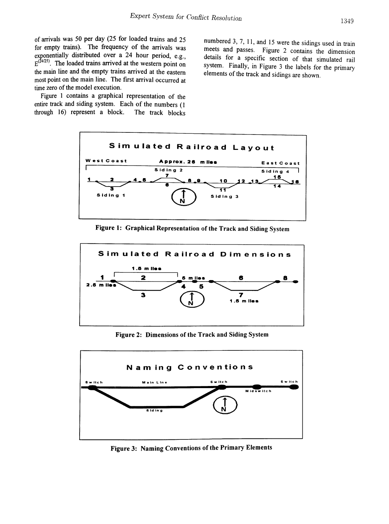of arrivals was 50 per day (25 for loaded trains and 25 for empty trains). The frequency of the arrivals was exponentially distributed over a 24 hour period, e.g.,  $E^{(24/25)}$ . The loaded trains arrived at the western point on the main line and the empty trains arrived at the eastern most point on the main line. The first arrival occurred at time zero of the model execution.

Figure 1 contains a graphical representation of the entire track and siding system. Each of the numbers (1 through 16) represent a block. The track blocks through  $16$ ) represent a block.

numbered 3,7, 11, and 15 were the sidings used in train meets and passes. Figure 2 contains the dimension details for a specific section of that simulated rail system. Finally, in Figure 3 the labels for the primary elements of the track and sidings are shown.



Figure 1: Graphical Representation of the Track and Siding System



Figure 2: Dimensions of the Track and Siding System



Figure 3: Naming Conventions of the Primary Elements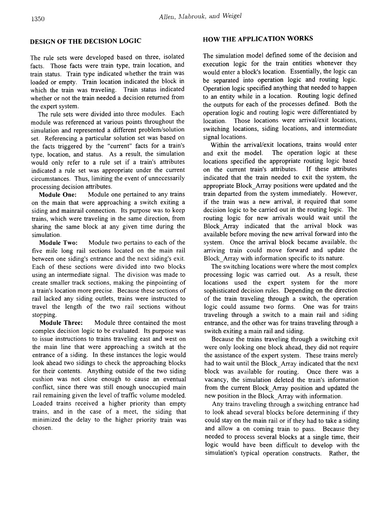The rule sets were developed based on three, isolated facts. Those facts were train type, train location, and train status. Train type indicated whether the train was loaded or empty. Train location indicated the block in which the train was traveling. Train status indicated whether or not the train needed a decision returned from the expert system.

The rule sets were divided into three modules. Each module was referenced at various points throughout the simulation and represented a different problem/solution set. Referencing a particular solution set was based on the facts triggered by the "current" facts for a train's type, location, and status. As a result, the simulation would only refer to a rule set if a train's attributes indicated a rule set was appropriate under the current circumstances. Thus, limiting the event of unnecessarily processing decision attributes.

Module One: Module one pertained to any trains on the main that were approaching a switch exiting a siding and mainrail connection. Its purpose was to keep trains, which were traveling in the same direction, from sharing the same block at any given time during the simulation.

Module Two: Module two pertains to each of the five mile long rail sections located on the main rail between one siding's entrance and the next siding's exit. Each of these sections were divided into two blocks using an intermediate signal. The division was made to create smaller track sections, making the pinpointing of a train's location more precise. Because these sections of rail lacked any siding outlets, trains were instructed to travel the length of the two rail sections without stopping.

Module Three: Module three contained the most complex decision logic to be evaluated. Its purpose was to issue instructions to trains traveling east and west on the main line that were approaching a switch at the entrance of a siding. In these instances the logic would look ahead two sidings to check the approaching blocks for their contents. Anything outside of the two siding cushion was not close enough to cause an eventual conflict, since there was still enough unoccupied main rail remaining given the level of traffic volume modeled. Loaded trains received a higher priority than empty trains, and in the case of a meet, the siding that minimized the delay to the higher priority train was chosen.

#### HOW THE APPLICATION WORKS

The simulation model defmed some of the decision and execution logic for the train entities whenever they would enter a block's location. Essentially, the logic can be separated into operation logic and routing logic. Operation logic specified anything that needed to happen to an entity while in a location. Routing logic defined the outputs for each of the processes defmed. Both the operation logic and routing logic were differentiated by location. Those locations were arrival/exit locations, switching locations, siding locations, and intermediate signal locations.

Within the arrival/exit locations, trains would enter and exit the model. The operation logic at these locations specified the appropriate routing logic based<br>on the current train's attributes. If these attributes on the current train's attributes. indicated that the train needed to exit the system, the appropriate Block\_Array positions were updated and the train departed from the system immediately. However, if the train was a new arrival, it required that some decision logic to be carried out in the routing logic. The routing logic for new arrivals would wait until the Block\_Array indicated that the arrival block was available before moving the new arrival forward into the system. Once the arrival block became available, the arriving train could move forward and update the Block\_Array with information specific to its nature.

The switching locations were where the most complex processing logic was carried out. As a result, these locations used the expert system for the more sophisticated decision rules. Depending on the direction of the train traveling through a switch, the operation logic could assume two forms. One was for trains traveling through a switch to a main rail and siding entrance, and the other was for trains traveling through a switch exiting a main rail and siding.

Because the trains traveling through a switching exit were only looking one block ahead, they did not require the assistance of the expert system. These trains merely had to wait until the Block\_Array indicated that the next block was available for routing. Once there was a vacancy, the simulation deleted the train's information from the current Block\_Array position and updated the new position in the Block\_Array with information.

Any trains traveling through a switching entrance had to look ahead several blocks before determining if they could stay on the main rail or if they had to take a siding and allow a on coming train to pass. Because they needed to process several blocks at a single time, their logic would have been difficult to develop with the simulation's typical operation constructs. Rather, the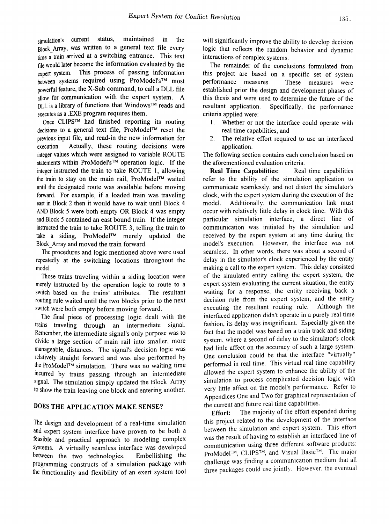simulation's current status, maintained in the Block Array, was written to a general text file every time a train arrived at a switching entrance. This text file would later become the information evaluated by the expert system. This process of passing information between systems required using ProModel's™ most powerful feature, the X-Sub command, to call a DLL file allow for communication with the expert system. A DLL is a library of functions that Windows™ reads and executes as a .EXE program requires them.

Once CLIPS<sup>™</sup> had finished reporting its routing decisions to a general text file, ProModel™ reset the previous input file, and read-in the new information for execution. Actually, these routing decisions were integer values which were assigned to variable ROUTE statements within ProModel'sTM operation logic. If the integer instructed the train to take ROUTE 1, allowing the train to stay on the main rail, ProModel™ waited until the designated route was available before moving forward. For example, if a loaded train was traveling east in Block 2 then it would have to wait until Block 4 AND Block 5 were both empty OR Block 4 was empty and Block 5 contained an east bound train. If the integer instructed the train to take ROUTE 3, telling the train to take a siding, ProModel™ merely updated the Block\_Array and moved the train forward.

The procedures and logic mentioned above were used repeatedly at the switching locations throughout the model.

Those trains traveling within a siding location were merely instructed by the operation logic to route to a switch based on the trains' attributes. The resultant routing rule waited until the two blocks prior to the next switch were both empty before moving forward.

The fmal piece of processing logic dealt with the trains traveling through an intermediate signal. Remember, the intermediate signal's only purpose was to divide a large section of main rail into smaller, more manageable, distances. The signal's decision logic was relatively straight forward and was also performed by the ProModel™ simulation. There was no waiting time incurred by trains passing through an intermediate signal. The simulation simply updated the Block\_Array to show the train leaving one block and entering another.

## DOES THE APPLICATION MAKE SENSE?

The design and development of a real-time simulation and expert system interface have proven to be both a feasible and practical approach to modeling complex systems. A virtually seamless interface was developed between the two technologies. Embellishing the programming constructs of a simulation package with the functionality and flexibility of an exert system tool will significantly improve the ability to develop decision logic that reflects the random behavior and dynamic interactions of complex systems.

The remainder of the conclusions formulated from this project are based on a specific set of system<br>performance measures. These measures were These measures were established prior the design and development phases of this thesis and were used to determine the future of the resultant application. Specifically, the performance criteria applied were:

- I. Whether or not the interface could operate with real time capabilities, and
- 2. The relative effort required to use an interfaced application.

The following section contains each conclusion based on the aforementioned evaluation criteria.

Real Time Capabilities: Real time capabilities refer to the ability of the simulation application to communicate seamlessly, and not distort the simulator's clock, with the expert system during the execution of the model. Additionally, the communication link must occur with relatively little delay in clock time. With this particular simulation interface, a direct line of communication was initiated by the simulation and received by the expert system at any time during the model's execution. However, the interface was not seamless. In other words, there was about a second of delay in the simulator's clock experienced by the entity making a call to the expert system. This delay consisted of the simulated entity calling the expert system, the expert system evaluating the current situation, the entity waiting for a response, the entity receiving back a decision rule from the expert system, and the entity executing the resultant routing rule. Although the interfaced application didn't operate in a purely real time fashion, its delay was insignificant. Especially given the fact that the model was based on a train track and siding system, where a second of delay to the simulator's clock had little affect on the accuracy of such a large system. One conclusion could be that the interface "virtually" performed in real time. This virtual real time capability allowed the expert system to enhance the ability of the simulation to process complicated decision logic with very little affect on the model's performance. Refer to Appendices One and Two for graphical representation of the current and future real time capabilities.

**Effort:** The majority of the effort expended during this project related to the development of the interface between the simulation and expert system. This effort was the result of having to establish an interfaced line of communication using three different software products: ProModel™, CLIPS™, and Visual Basic™. The major challenge was finding a communication medium that all three packages could use jointly. However, the eventual